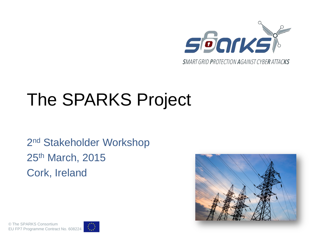

# The SPARKS Project

2<sup>nd</sup> Stakeholder Workshop 25th March, 2015 Cork, Ireland



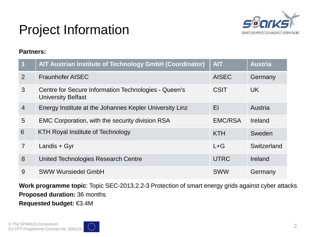

### Project Information

#### **Partners:**

| $\overline{1}$ | AIT Austrian Institute of Technology GmbH (Coordinator)                           | <b>AIT</b>     | <b>Austria</b> |
|----------------|-----------------------------------------------------------------------------------|----------------|----------------|
| 2              | <b>Fraunhofer AISEC</b>                                                           | <b>AISEC</b>   | Germany        |
| 3              | Centre for Secure Information Technologies - Queen's<br><b>University Belfast</b> | <b>CSIT</b>    | <b>UK</b>      |
| $\overline{4}$ | Energy Institute at the Johannes Kepler University Linz                           | EI             | Austria        |
| 5              | <b>EMC Corporation, with the security division RSA</b>                            | <b>EMC/RSA</b> | Ireland        |
| 6              | <b>KTH Royal Institute of Technology</b>                                          | <b>KTH</b>     | Sweden         |
| $\overline{7}$ | Landis + Gyr                                                                      | $L + G$        | Switzerland    |
| 8              | United Technologies Research Centre                                               | <b>UTRC</b>    | Ireland        |
| 9              | <b>SWW Wunsiedel GmbH</b>                                                         | <b>SWW</b>     | Germany        |

**Work programme topic**: Topic SEC-2013.2.2-3 Protection of smart energy grids against cyber attacks **Proposed duration:** 36 months **Requested budget:** €3.4M

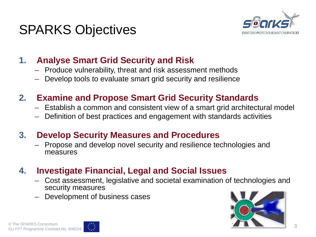



#### **1. Analyse Smart Grid Security and Risk**

- Produce vulnerability, threat and risk assessment methods
- Develop tools to evaluate smart grid security and resilience

#### **2. Examine and Propose Smart Grid Security Standards**

- Establish a common and consistent view of a smart grid architectural model
- Definition of best practices and engagement with standards activities

#### **3. Develop Security Measures and Procedures**

– Propose and develop novel security and resilience technologies and measures

#### **4. Investigate Financial, Legal and Social Issues**

- Cost assessment, legislative and societal examination of technologies and security measures
- Development of business cases



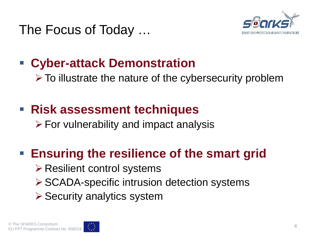The Focus of Today …



#### **Cyber-attack Demonstration**

 $\triangleright$  To illustrate the nature of the cybersecurity problem

### **Risk assessment techniques**

 $\triangleright$  For vulnerability and impact analysis

#### **Ensuring the resilience of the smart grid**

- $\triangleright$  Resilient control systems
- **≻ SCADA-specific intrusion detection systems**
- $\triangleright$  Security analytics system

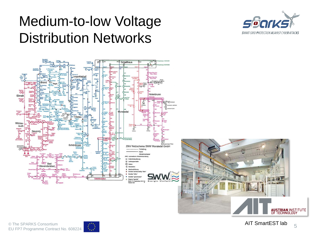## Medium-to-low Voltage Distribution Networks





<mark>N INSTITUTE</mark><br>NOLOGY

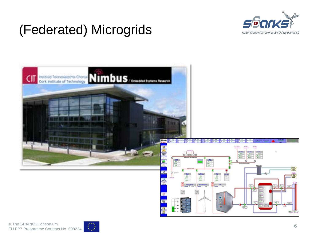

### (Federated) Microgrids



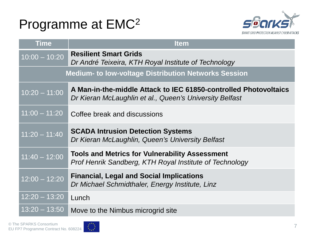#### Programme at EMC2



| <b>Time</b>                                                 | <b>Item</b>                                                                                                                 |  |  |
|-------------------------------------------------------------|-----------------------------------------------------------------------------------------------------------------------------|--|--|
| $\overline{10:00} - \overline{10:20}$                       | <b>Resilient Smart Grids</b><br>Dr André Teixeira, KTH Royal Institute of Technology                                        |  |  |
| <b>Medium- to low-voltage Distribution Networks Session</b> |                                                                                                                             |  |  |
| $10:20 - 11:00$                                             | A Man-in-the-middle Attack to IEC 61850-controlled Photovoltaics<br>Dr Kieran McLaughlin et al., Queen's University Belfast |  |  |
| $11:00 - 11:20$                                             | Coffee break and discussions                                                                                                |  |  |
| $11:20 - 11:40$                                             | <b>SCADA Intrusion Detection Systems</b><br>Dr Kieran McLaughlin, Queen's University Belfast                                |  |  |
| $11:40 - 12:00$                                             | <b>Tools and Metrics for Vulnerability Assessment</b><br>Prof Henrik Sandberg, KTH Royal Institute of Technology            |  |  |
| $12:00 - 12:20$                                             | <b>Financial, Legal and Social Implications</b><br>Dr Michael Schmidthaler, Energy Institute, Linz                          |  |  |
| $12:20 - 13:20$                                             | Lunch                                                                                                                       |  |  |
| $13:20 - 13:50$                                             | Move to the Nimbus microgrid site                                                                                           |  |  |

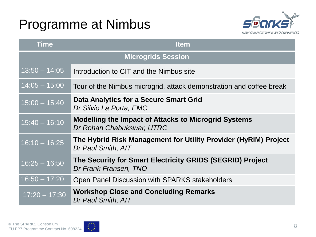### Programme at Nimbus



| <b>Time</b>               | <b>Item</b>                                                                              |  |  |
|---------------------------|------------------------------------------------------------------------------------------|--|--|
| <b>Microgrids Session</b> |                                                                                          |  |  |
| $13:50 - 14:05$           | Introduction to CIT and the Nimbus site                                                  |  |  |
| $14:05 - 15:00$           | Tour of the Nimbus microgrid, attack demonstration and coffee break                      |  |  |
| $15:00 - 15:40$           | Data Analytics for a Secure Smart Grid<br>Dr Silvio La Porta, EMC                        |  |  |
| $15:40 - 16:10$           | <b>Modelling the Impact of Attacks to Microgrid Systems</b><br>Dr Rohan Chabukswar, UTRC |  |  |
| $16:10 - 16:25$           | The Hybrid Risk Management for Utility Provider (HyRiM) Project<br>Dr Paul Smith, AIT    |  |  |
| $16:25 - 16:50$           | The Security for Smart Electricity GRIDS (SEGRID) Project<br>Dr Frank Fransen, TNO       |  |  |
| $16:50 - 17:20$           | Open Panel Discussion with SPARKS stakeholders                                           |  |  |
| $17:20 - 17:30$           | <b>Workshop Close and Concluding Remarks</b><br>Dr Paul Smith, AIT                       |  |  |